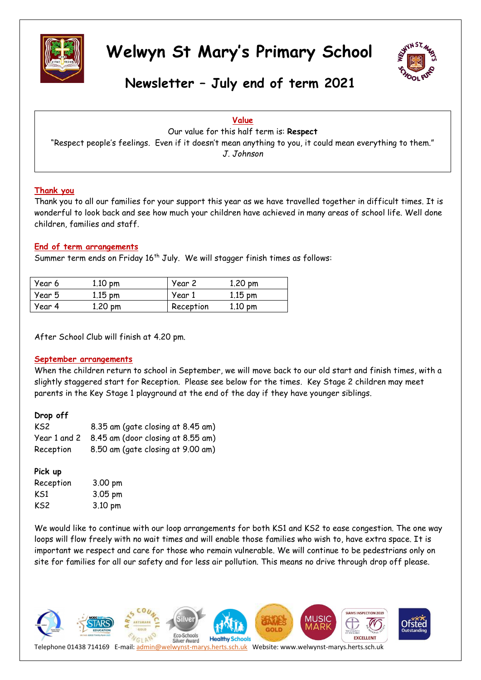



**Newsletter – July end of term 2021**

#### **Value**

Our value for this half term is: **Respect** "Respect people's feelings. Even if it doesn't mean anything to you, it could mean everything to them." *J. Johnson*

#### **Thank you**

Thank you to all our families for your support this year as we have travelled together in difficult times. It is wonderful to look back and see how much your children have achieved in many areas of school life. Well done children, families and staff.

#### **End of term arrangements**

Summer term ends on Friday 16<sup>th</sup> July. We will stagger finish times as follows:

| Year 6 | $1.10 \text{ pm}$ | Year 2    | $1.20 \text{ pm}$ |
|--------|-------------------|-----------|-------------------|
| Year 5 | $1.15$ pm         | Year 1    | $1.15$ pm         |
| Year 4 | 1.20 pm           | Reception | $1.10 \text{ pm}$ |

After School Club will finish at 4.20 pm.

#### **September arrangements**

When the children return to school in September, we will move back to our old start and finish times, with a slightly staggered start for Reception. Please see below for the times. Key Stage 2 children may meet parents in the Key Stage 1 playground at the end of the day if they have younger siblings.

| Drop off     |                                   |
|--------------|-----------------------------------|
| KS2          | 8.35 am (gate closing at 8.45 am) |
| Year 1 and 2 | 8.45 am (door closing at 8.55 am) |
| Reception    | 8.50 am (gate closing at 9.00 am) |
|              |                                   |

#### **Pick up**

| Reception | 3.00 pm |
|-----------|---------|
| KS1       | 3.05 pm |
| KS2       | 3.10 pm |

We would like to continue with our loop arrangements for both KS1 and KS2 to ease congestion. The one way loops will flow freely with no wait times and will enable those families who wish to, have extra space. It is important we respect and care for those who remain vulnerable. We will continue to be pedestrians only on site for families for all our safety and for less air pollution. This means no drive through drop off please.

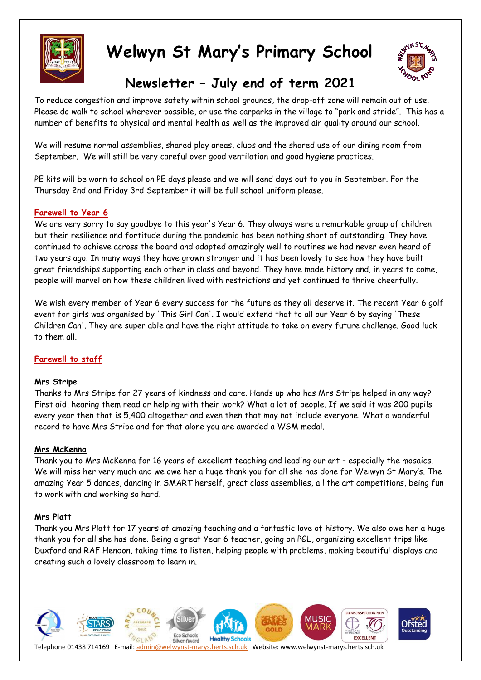



## **Newsletter – July end of term 2021**

To reduce congestion and improve safety within school grounds, the drop-off zone will remain out of use. Please do walk to school wherever possible, or use the carparks in the village to "park and stride". This has a number of benefits to physical and mental health as well as the improved air quality around our school.

We will resume normal assemblies, shared play areas, clubs and the shared use of our dining room from September. We will still be very careful over good ventilation and good hygiene practices.

PE kits will be worn to school on PE days please and we will send days out to you in September. For the Thursday 2nd and Friday 3rd September it will be full school uniform please.

#### **Farewell to Year 6**

We are very sorry to say goodbye to this year's Year 6. They always were a remarkable group of children but their resilience and fortitude during the pandemic has been nothing short of outstanding. They have continued to achieve across the board and adapted amazingly well to routines we had never even heard of two years ago. In many ways they have grown stronger and it has been lovely to see how they have built great friendships supporting each other in class and beyond. They have made history and, in years to come, people will marvel on how these children lived with restrictions and yet continued to thrive cheerfully.

We wish every member of Year 6 every success for the future as they all deserve it. The recent Year 6 golf event for girls was organised by 'This Girl Can'. I would extend that to all our Year 6 by saying 'These Children Can'. They are super able and have the right attitude to take on every future challenge. Good luck to them all.

#### **Farewell to staff**

#### **Mrs Stripe**

Thanks to Mrs Stripe for 27 years of kindness and care. Hands up who has Mrs Stripe helped in any way? First aid, hearing them read or helping with their work? What a lot of people. If we said it was 200 pupils every year then that is 5,400 altogether and even then that may not include everyone. What a wonderful record to have Mrs Stripe and for that alone you are awarded a WSM medal.

#### **Mrs McKenna**

Thank you to Mrs McKenna for 16 years of excellent teaching and leading our art – especially the mosaics. We will miss her very much and we owe her a huge thank you for all she has done for Welwyn St Mary's. The amazing Year 5 dances, dancing in SMART herself, great class assemblies, all the art competitions, being fun to work with and working so hard.

#### **Mrs Platt**

Thank you Mrs Platt for 17 years of amazing teaching and a fantastic love of history. We also owe her a huge thank you for all she has done. Being a great Year 6 teacher, going on PGL, organizing excellent trips like Duxford and RAF Hendon, taking time to listen, helping people with problems, making beautiful displays and creating such a lovely classroom to learn in.

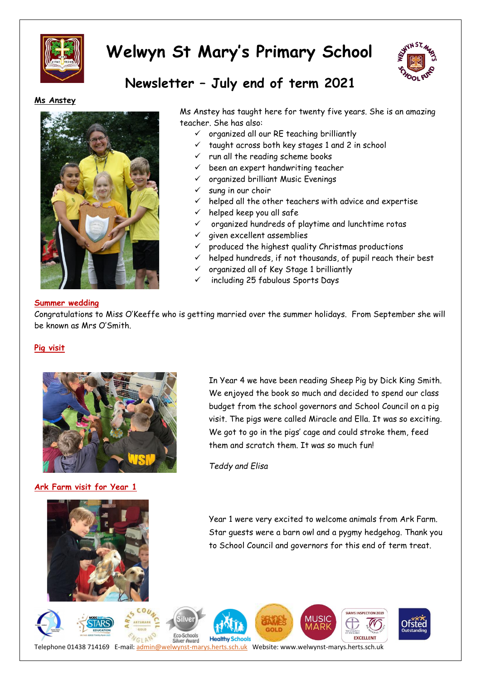



### **Newsletter – July end of term 2021**

#### **Ms Anstey**



Ms Anstey has taught here for twenty five years. She is an amazing teacher. She has also:

- $\checkmark$  organized all our RE teaching brilliantly
- taught across both key stages 1 and 2 in school
- run all the reading scheme books
- been an expert handwriting teacher
- organized brilliant Music Evenings
- sung in our choir
- helped all the other teachers with advice and expertise
- $\checkmark$  helped keep you all safe
- organized hundreds of playtime and lunchtime rotas
- $\checkmark$  given excellent assemblies
- produced the highest quality Christmas productions
- helped hundreds, if not thousands, of pupil reach their best
- organized all of Key Stage 1 brilliantly
- including 25 fabulous Sports Days

#### **Summer wedding**

Congratulations to Miss O'Keeffe who is getting married over the summer holidays. From September she will be known as Mrs O'Smith.

#### **Pig visit**



**Ark Farm visit for Year 1**

In Year 4 we have been reading Sheep Pig by Dick King Smith. We enjoyed the book so much and decided to spend our class budget from the school governors and School Council on a pig visit. The pigs were called Miracle and Ella. It was so exciting. We got to go in the pigs' cage and could stroke them, feed them and scratch them. It was so much fun!

*Teddy and Elisa*

Year 1 were very excited to welcome animals from Ark Farm. Star guests were a barn owl and a pygmy hedgehog. Thank you to School Council and governors for this end of term treat.

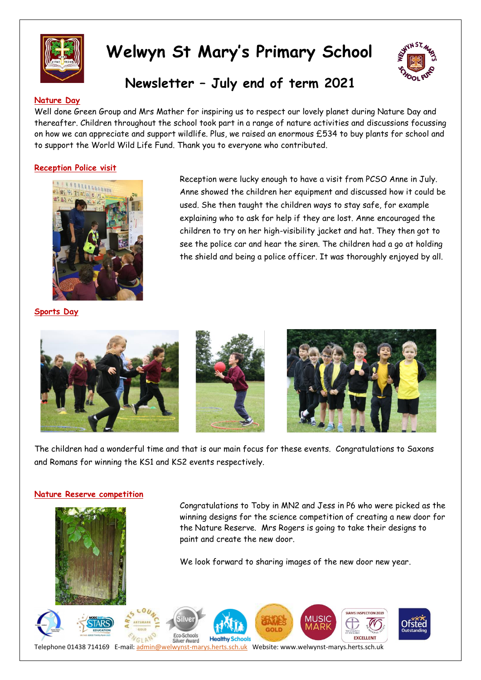



### **Newsletter – July end of term 2021**

#### **Nature Day**

Well done Green Group and Mrs Mather for inspiring us to respect our lovely planet during Nature Day and thereafter. Children throughout the school took part in a range of nature activities and discussions focussing on how we can appreciate and support wildlife. Plus, we raised an enormous £534 to buy plants for school and to support the World Wild Life Fund. Thank you to everyone who contributed.

#### **Reception Police visit**



Reception were lucky enough to have a visit from PCSO Anne in July. Anne showed the children her equipment and discussed how it could be used. She then taught the children ways to stay safe, for example explaining who to ask for help if they are lost. Anne encouraged the children to try on her high-visibility jacket and hat. They then got to see the police car and hear the siren. The children had a go at holding the shield and being a police officer. It was thoroughly enjoyed by all.

**Sports Day**







The children had a wonderful time and that is our main focus for these events. Congratulations to Saxons and Romans for winning the KS1 and KS2 events respectively.

#### **Nature Reserve competition**

Congratulations to Toby in MN2 and Jess in P6 who were picked as the winning designs for the science competition of creating a new door for the Nature Reserve. Mrs Rogers is going to take their designs to paint and create the new door.

We look forward to sharing images of the new door new year.

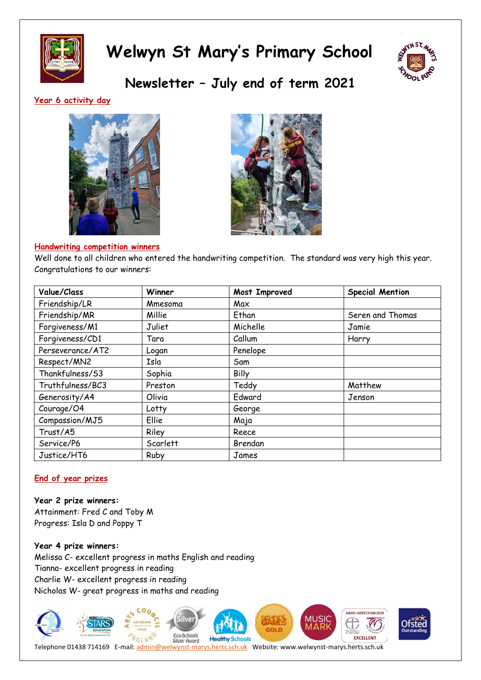



**Newsletter – July end of term 2021**

#### **Year 6 activity day**





#### **Handwriting competition winners**

Well done to all children who entered the handwriting competition. The standard was very high this year. Congratulations to our winners:

| Value/Class      | Winner   | Most Improved | <b>Special Mention</b> |
|------------------|----------|---------------|------------------------|
| Friendship/LR    | Mmesoma  | Max           |                        |
| Friendship/MR    | Millie   | Ethan         | Seren and Thomas       |
| Forgiveness/M1   | Juliet   | Michelle      | Jamie                  |
| Forgiveness/CD1  | Tara     | Callum        | Harry                  |
| Perseverance/AT2 | Logan    | Penelope      |                        |
| Respect/MN2      | Isla     | Sam           |                        |
| Thankfulness/S3  | Sophia   | Billy         |                        |
| Truthfulness/BC3 | Preston  | Teddy         | Matthew                |
| Generosity/A4    | Olivia   | Edward        | Jenson                 |
| Courage/O4       | Lotty    | George        |                        |
| Compassion/MJ5   | Ellie    | Maja          |                        |
| Trust/A5         | Riley    | Reece         |                        |
| Service/P6       | Scarlett | Brendan       |                        |
| Justice/HT6      | Ruby     | James         |                        |

#### **End of year prizes**

**Year 2 prize winners:** Attainment: Fred C and Toby M Progress: Isla D and Poppy T

**Year 4 prize winners:** Melissa C- excellent progress in maths English and reading Tianna- excellent progress in reading Charlie W- excellent progress in reading Nicholas W- great progress in maths and reading

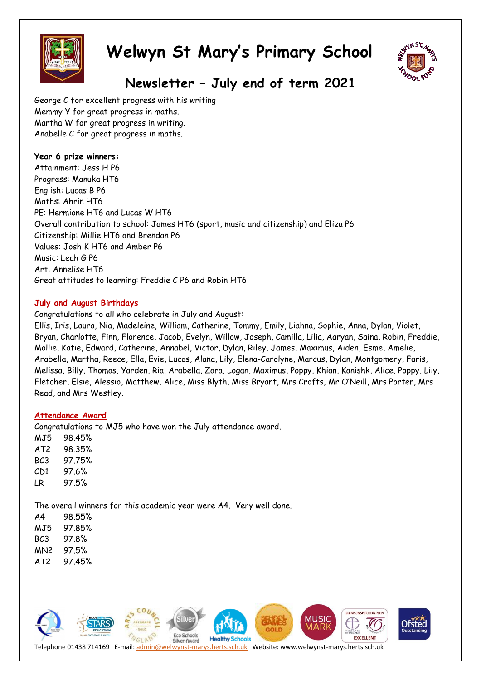



## **Newsletter – July end of term 2021**

George C for excellent progress with his writing Memmy Y for great progress in maths. Martha W for great progress in writing. Anabelle C for great progress in maths.

#### **Year 6 prize winners:**

Attainment: Jess H P6 Progress: Manuka HT6 English: Lucas B P6 Maths: Ahrin HT6 PE: Hermione HT6 and Lucas W HT6 Overall contribution to school: James HT6 (sport, music and citizenship) and Eliza P6 Citizenship: Millie HT6 and Brendan P6 Values: Josh K HT6 and Amber P6 Music: Leah G P6 Art: Annelise HT6 Great attitudes to learning: Freddie C P6 and Robin HT6

#### **July and August Birthdays**

Congratulations to all who celebrate in July and August:

Ellis, Iris, Laura, Nia, Madeleine, William, Catherine, Tommy, Emily, Liahna, Sophie, Anna, Dylan, Violet, Bryan, Charlotte, Finn, Florence, Jacob, Evelyn, Willow, Joseph, Camilla, Lilia, Aaryan, Saina, Robin, Freddie, Mollie, Katie, Edward, Catherine, Annabel, Victor, Dylan, Riley, James, Maximus, Aiden, Esme, Amelie, Arabella, Martha, Reece, Ella, Evie, Lucas, Alana, Lily, Elena-Carolyne, Marcus, Dylan, Montgomery, Faris, Melissa, Billy, Thomas, Yarden, Ria, Arabella, Zara, Logan, Maximus, Poppy, Khian, Kanishk, Alice, Poppy, Lily, Fletcher, Elsie, Alessio, Matthew, Alice, Miss Blyth, Miss Bryant, Mrs Crofts, Mr O'Neill, Mrs Porter, Mrs Read, and Mrs Westley.

#### **Attendance Award**

Congratulations to MJ5 who have won the July attendance award.

MJ5 98.45% AT2 98.35% BC3 97.75% CD1 97.6% LR 97.5%

The overall winners for this academic year were A4. Very well done.

| Α4  | 98 55% |
|-----|--------|
| MJ5 | 97 85% |
| BC3 | 97 8%  |
| MN2 | 97.5%  |
| AT2 | 97 45% |

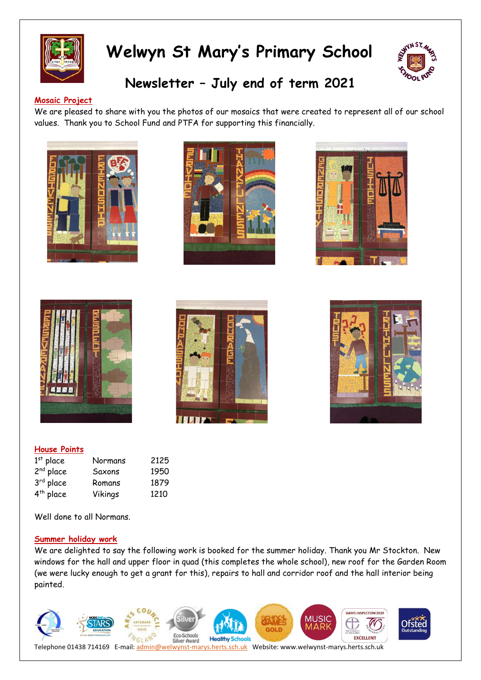



## **Newsletter – July end of term 2021**

#### **Mosaic Project**

We are pleased to share with you the photos of our mosaics that were created to represent all of our school values. Thank you to School Fund and PTFA for supporting this financially.













#### **House Points**

| $1st$ place           | Normans | 2125 |
|-----------------------|---------|------|
| 2 <sup>nd</sup> place | Saxons  | 1950 |
| 3 <sup>rd</sup> place | Romans  | 1879 |
| 4 <sup>th</sup> place | Vikings | 1210 |

Well done to all Normans.

#### **Summer holiday work**

We are delighted to say the following work is booked for the summer holiday. Thank you Mr Stockton. New windows for the hall and upper floor in quad (this completes the whole school), new roof for the Garden Room (we were lucky enough to get a grant for this), repairs to hall and corridor roof and the hall interior being painted.

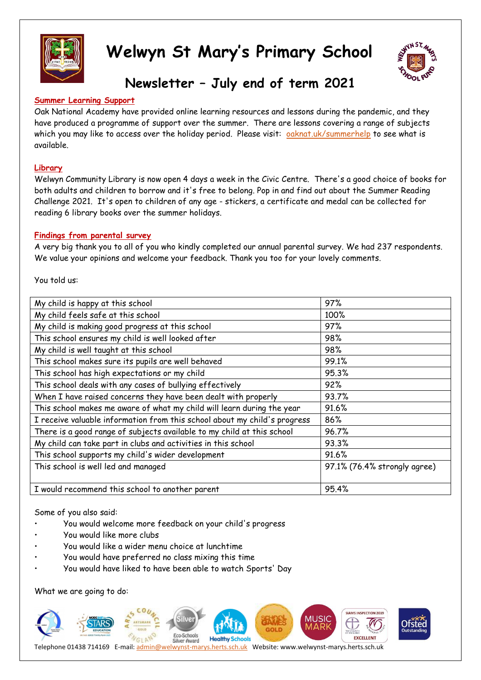![](_page_7_Picture_0.jpeg)

![](_page_7_Picture_2.jpeg)

## **Newsletter – July end of term 2021**

#### **Summer Learning Support**

Oak National Academy have provided online learning resources and lessons during the pandemic, and they have produced a programme of support over the summer. There are lessons covering a range of subjects which you may like to access over the holiday period. Please visit: [oaknat.uk/summerhelp](http://www.oaknat.uk/summerhelp) to see what is available.

#### **Library**

Welwyn Community Library is now open 4 days a week in the Civic Centre. There's a good choice of books for both adults and children to borrow and it's free to belong. Pop in and find out about the Summer Reading Challenge 2021. It's open to children of any age - stickers, a certificate and medal can be collected for reading 6 library books over the summer holidays.

#### **Findings from parental survey**

A very big thank you to all of you who kindly completed our annual parental survey. We had 237 respondents. We value your opinions and welcome your feedback. Thank you too for your lovely comments.

You told us:

| My child is happy at this school                                          | 97%                          |
|---------------------------------------------------------------------------|------------------------------|
| My child feels safe at this school                                        | 100%                         |
| My child is making good progress at this school                           | 97%                          |
| This school ensures my child is well looked after                         | 98%                          |
| My child is well taught at this school                                    | 98%                          |
| This school makes sure its pupils are well behaved                        | 99.1%                        |
| This school has high expectations or my child                             | 95.3%                        |
| This school deals with any cases of bullying effectively                  | 92%                          |
| When I have raised concerns they have been dealt with properly            | 93.7%                        |
| This school makes me aware of what my child will learn during the year    | 91.6%                        |
| I receive valuable information from this school about my child's progress | 86%                          |
| There is a good range of subjects available to my child at this school    | 96.7%                        |
| My child can take part in clubs and activities in this school             | 93.3%                        |
| This school supports my child's wider development                         | 91.6%                        |
| This school is well led and managed                                       | 97.1% (76.4% strongly agree) |
|                                                                           |                              |
| I would recommend this school to another parent                           | 95.4%                        |

Some of you also said:

- You would welcome more feedback on your child's progress
- You would like more clubs
- You would like a wider menu choice at lunchtime
- You would have preferred no class mixing this time
- You would have liked to have been able to watch Sports' Day

What we are going to do:

![](_page_7_Picture_19.jpeg)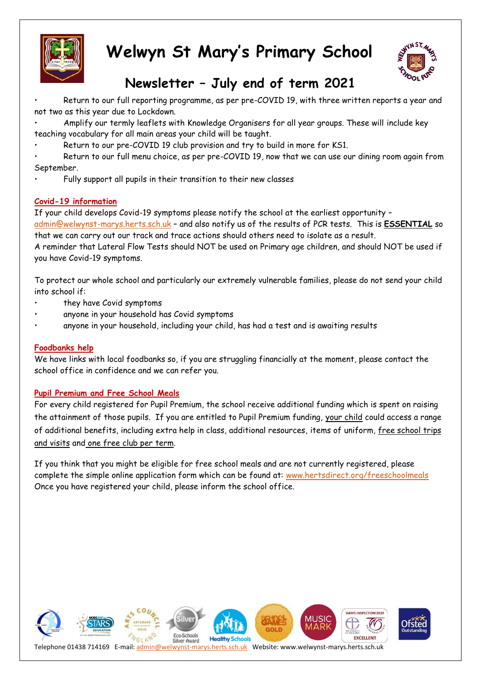![](_page_8_Picture_0.jpeg)

![](_page_8_Picture_2.jpeg)

## **Newsletter – July end of term 2021**

• Return to our full reporting programme, as per pre-COVID 19, with three written reports a year and not two as this year due to Lockdown.

• Amplify our termly leaflets with Knowledge Organisers for all year groups. These will include key teaching vocabulary for all main areas your child will be taught.

Return to our pre-COVID 19 club provision and try to build in more for KS1.

Return to our full menu choice, as per pre-COVID 19, now that we can use our dining room again from September.

• Fully support all pupils in their transition to their new classes

#### **Covid-19 information**

If your child develops Covid-19 symptoms please notify the school at the earliest opportunity – [admin@welwynst-marys.herts.sch.uk](mailto:admin@welwynst-marys.herts.sch.uk) – and also notify us of the results of PCR tests. This is **ESSENTIAL** so that we can carry out our track and trace actions should others need to isolate as a result.

A reminder that Lateral Flow Tests should NOT be used on Primary age children, and should NOT be used if you have Covid-19 symptoms.

To protect our whole school and particularly our extremely vulnerable families, please do not send your child into school if:

- they have Covid symptoms
- anyone in your household has Covid symptoms
- anyone in your household, including your child, has had a test and is awaiting results

#### **Foodbanks help**

We have links with local foodbanks so, if you are struggling financially at the moment, please contact the school office in confidence and we can refer you.

#### **Pupil Premium and Free School Meals**

For every child registered for Pupil Premium, the school receive additional funding which is spent on raising the attainment of those pupils. If you are entitled to Pupil Premium funding, your child could access a range of additional benefits, including extra help in class, additional resources, items of uniform, free school trips and visits and one free club per term.

If you think that you might be eligible for free school meals and are not currently registered, please complete the simple online application form which can be found at: [www.hertsdirect.org/freeschoolmeals](http://www.hertsdirect.org/freeschoolmeals)  Once you have registered your child, please inform the school office.

![](_page_8_Picture_21.jpeg)